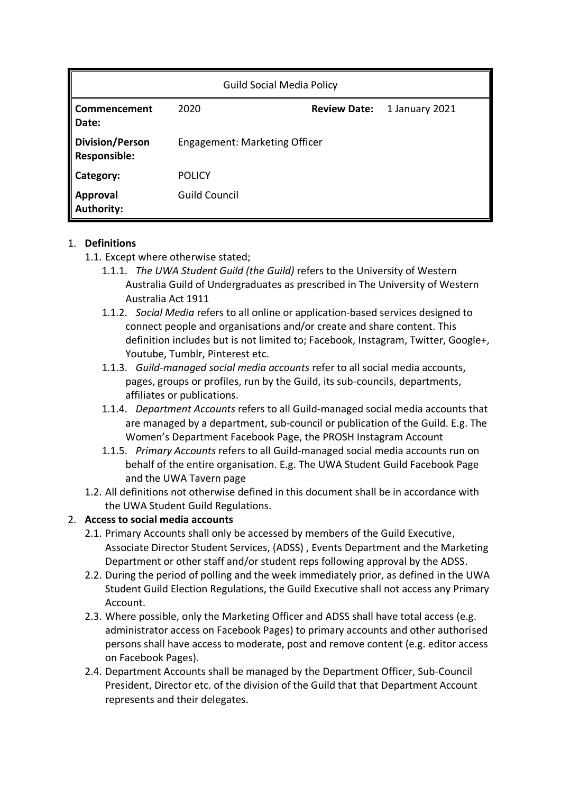| <b>Guild Social Media Policy</b>              |                               |                     |                |
|-----------------------------------------------|-------------------------------|---------------------|----------------|
| Commencement<br>Date:                         | 2020                          | <b>Review Date:</b> | 1 January 2021 |
| <b>Division/Person</b><br><b>Responsible:</b> | Engagement: Marketing Officer |                     |                |
| Category:                                     | <b>POLICY</b>                 |                     |                |
| Approval<br>Authority:                        | <b>Guild Council</b>          |                     |                |

### 1. **Definitions**

- 1.1. Except where otherwise stated;
	- 1.1.1. *The UWA Student Guild (the Guild)* refers to the University of Western Australia Guild of Undergraduates as prescribed in The University of Western Australia Act 1911
	- 1.1.2. *Social Media* refers to all online or application-based services designed to connect people and organisations and/or create and share content. This definition includes but is not limited to; Facebook, Instagram, Twitter, Google+, Youtube, Tumblr, Pinterest etc.
	- 1.1.3. *Guild-managed social media accounts* refer to all social media accounts, pages, groups or profiles, run by the Guild, its sub-councils, departments, affiliates or publications.
	- 1.1.4. *Department Accounts* refers to all Guild-managed social media accounts that are managed by a department, sub-council or publication of the Guild. E.g. The Women's Department Facebook Page, the PROSH Instagram Account
	- 1.1.5. *Primary Accounts* refers to all Guild-managed social media accounts run on behalf of the entire organisation. E.g. The UWA Student Guild Facebook Page and the UWA Tavern page
- 1.2. All definitions not otherwise defined in this document shall be in accordance with the UWA Student Guild Regulations.

# 2. **Access to social media accounts**

- 2.1. Primary Accounts shall only be accessed by members of the Guild Executive, Associate Director Student Services, (ADSS) , Events Department and the Marketing Department or other staff and/or student reps following approval by the ADSS.
- 2.2. During the period of polling and the week immediately prior, as defined in the UWA Student Guild Election Regulations, the Guild Executive shall not access any Primary Account.
- 2.3. Where possible, only the Marketing Officer and ADSS shall have total access (e.g. administrator access on Facebook Pages) to primary accounts and other authorised persons shall have access to moderate, post and remove content (e.g. editor access on Facebook Pages).
- 2.4. Department Accounts shall be managed by the Department Officer, Sub-Council President, Director etc. of the division of the Guild that that Department Account represents and their delegates.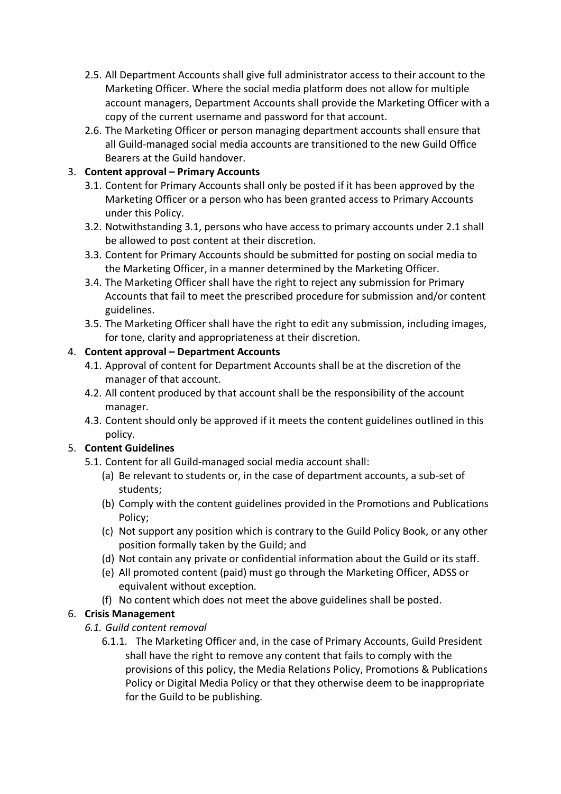- 2.5. All Department Accounts shall give full administrator access to their account to the Marketing Officer. Where the social media platform does not allow for multiple account managers, Department Accounts shall provide the Marketing Officer with a copy of the current username and password for that account.
- 2.6. The Marketing Officer or person managing department accounts shall ensure that all Guild-managed social media accounts are transitioned to the new Guild Office Bearers at the Guild handover.

# 3. **Content approval – Primary Accounts**

- 3.1. Content for Primary Accounts shall only be posted if it has been approved by the Marketing Officer or a person who has been granted access to Primary Accounts under this Policy.
- 3.2. Notwithstanding 3.1, persons who have access to primary accounts under 2.1 shall be allowed to post content at their discretion.
- 3.3. Content for Primary Accounts should be submitted for posting on social media to the Marketing Officer, in a manner determined by the Marketing Officer.
- 3.4. The Marketing Officer shall have the right to reject any submission for Primary Accounts that fail to meet the prescribed procedure for submission and/or content guidelines.
- 3.5. The Marketing Officer shall have the right to edit any submission, including images, for tone, clarity and appropriateness at their discretion.

# 4. **Content approval – Department Accounts**

- 4.1. Approval of content for Department Accounts shall be at the discretion of the manager of that account.
- 4.2. All content produced by that account shall be the responsibility of the account manager.
- 4.3. Content should only be approved if it meets the content guidelines outlined in this policy.

# 5. **Content Guidelines**

- 5.1. Content for all Guild-managed social media account shall:
	- (a) Be relevant to students or, in the case of department accounts, a sub-set of students;
	- (b) Comply with the content guidelines provided in the Promotions and Publications Policy;
	- (c) Not support any position which is contrary to the Guild Policy Book, or any other position formally taken by the Guild; and
	- (d) Not contain any private or confidential information about the Guild or its staff.
	- (e) All promoted content (paid) must go through the Marketing Officer, ADSS or equivalent without exception.
	- (f) No content which does not meet the above guidelines shall be posted.

# 6. **Crisis Management**

- *6.1. Guild content removal*
	- 6.1.1. The Marketing Officer and, in the case of Primary Accounts, Guild President shall have the right to remove any content that fails to comply with the provisions of this policy, the Media Relations Policy, Promotions & Publications Policy or Digital Media Policy or that they otherwise deem to be inappropriate for the Guild to be publishing.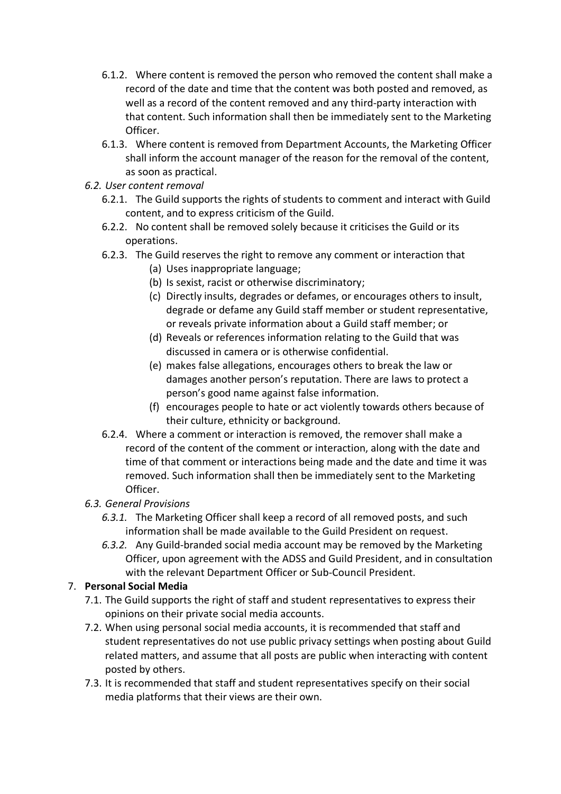- 6.1.2. Where content is removed the person who removed the content shall make a record of the date and time that the content was both posted and removed, as well as a record of the content removed and any third-party interaction with that content. Such information shall then be immediately sent to the Marketing Officer.
- 6.1.3. Where content is removed from Department Accounts, the Marketing Officer shall inform the account manager of the reason for the removal of the content, as soon as practical.
- *6.2. User content removal*
	- 6.2.1. The Guild supports the rights of students to comment and interact with Guild content, and to express criticism of the Guild.
	- 6.2.2. No content shall be removed solely because it criticises the Guild or its operations.
	- 6.2.3. The Guild reserves the right to remove any comment or interaction that
		- (a) Uses inappropriate language;
		- (b) Is sexist, racist or otherwise discriminatory;
		- (c) Directly insults, degrades or defames, or encourages others to insult, degrade or defame any Guild staff member or student representative, or reveals private information about a Guild staff member; or
		- (d) Reveals or references information relating to the Guild that was discussed in camera or is otherwise confidential.
		- (e) makes false allegations, encourages others to break the law or damages another person's reputation. There are laws to protect a person's good name against false information.
		- (f) encourages people to hate or act violently towards others because of their culture, ethnicity or background.
	- 6.2.4. Where a comment or interaction is removed, the remover shall make a record of the content of the comment or interaction, along with the date and time of that comment or interactions being made and the date and time it was removed. Such information shall then be immediately sent to the Marketing Officer.

# *6.3. General Provisions*

- *6.3.1.* The Marketing Officer shall keep a record of all removed posts, and such information shall be made available to the Guild President on request.
- *6.3.2.* Any Guild-branded social media account may be removed by the Marketing Officer, upon agreement with the ADSS and Guild President, and in consultation with the relevant Department Officer or Sub-Council President.

# 7. **Personal Social Media**

- 7.1. The Guild supports the right of staff and student representatives to express their opinions on their private social media accounts.
- 7.2. When using personal social media accounts, it is recommended that staff and student representatives do not use public privacy settings when posting about Guild related matters, and assume that all posts are public when interacting with content posted by others.
- 7.3. It is recommended that staff and student representatives specify on their social media platforms that their views are their own.